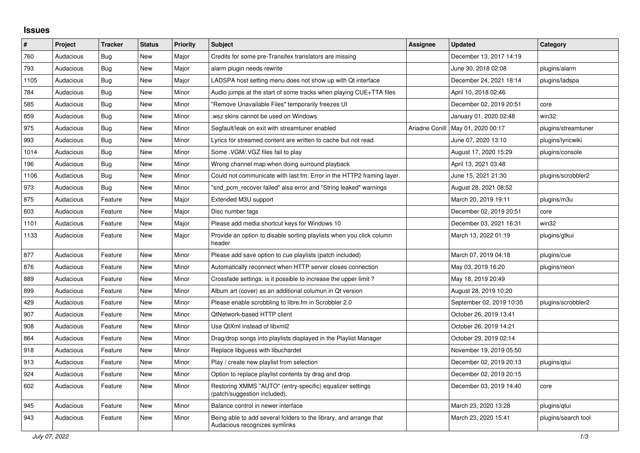## **Issues**

| ∦    | Project   | <b>Tracker</b> | <b>Status</b> | <b>Priority</b> | <b>Subject</b>                                                                                      | <b>Assignee</b> | <b>Updated</b>                      | Category            |
|------|-----------|----------------|---------------|-----------------|-----------------------------------------------------------------------------------------------------|-----------------|-------------------------------------|---------------------|
| 760  | Audacious | Bug            | <b>New</b>    | Major           | Credits for some pre-Transifex translators are missing                                              |                 | December 13, 2017 14:19             |                     |
| 793  | Audacious | Bug            | <b>New</b>    | Major           | alarm plugin needs rewrite                                                                          |                 | June 30, 2018 02:08                 | plugins/alarm       |
| 1105 | Audacious | <b>Bug</b>     | <b>New</b>    | Major           | LADSPA host setting menu does not show up with Qt interface                                         |                 | December 24, 2021 18:14             | plugins/ladspa      |
| 784  | Audacious | Bug            | New           | Minor           | Audio jumps at the start of some tracks when playing CUE+TTA files                                  |                 | April 10, 2018 02:46                |                     |
| 585  | Audacious | Bug            | <b>New</b>    | Minor           | "Remove Unavailable Files" temporarily freezes UI                                                   |                 | December 02, 2019 20:51             | core                |
| 859  | Audacious | Bug            | <b>New</b>    | Minor           | wsz skins cannot be used on Windows                                                                 |                 | January 01, 2020 02:48              | win32               |
| 975  | Audacious | <b>Bug</b>     | <b>New</b>    | Minor           | Segfault/leak on exit with streamtuner enabled                                                      |                 | Ariadne Conill   May 01, 2020 00:17 | plugins/streamtuner |
| 993  | Audacious | Bug            | New           | Minor           | Lyrics for streamed content are written to cache but not read.                                      |                 | June 07, 2020 13:10                 | plugins/lyricwiki   |
| 1014 | Audacious | Bug            | <b>New</b>    | Minor           | Some .VGM/.VGZ files fail to play                                                                   |                 | August 17, 2020 15:29               | plugins/console     |
| 196  | Audacious | <b>Bug</b>     | <b>New</b>    | Minor           | Wrong channel map when doing surround playback                                                      |                 | April 13, 2021 03:48                |                     |
| 1106 | Audacious | Bug            | New           | Minor           | Could not communicate with last.fm: Error in the HTTP2 framing layer.                               |                 | June 15, 2021 21:30                 | plugins/scrobbler2  |
| 973  | Audacious | Bug            | <b>New</b>    | Minor           | "snd pcm recover failed" alsa error and "String leaked" warnings                                    |                 | August 28, 2021 08:52               |                     |
| 875  | Audacious | Feature        | <b>New</b>    | Major           | Extended M3U support                                                                                |                 | March 20, 2019 19:11                | plugins/m3u         |
| 603  | Audacious | Feature        | <b>New</b>    | Major           | Disc number tags                                                                                    |                 | December 02, 2019 20:51             | core                |
| 1101 | Audacious | Feature        | <b>New</b>    | Major           | Please add media shortcut keys for Windows 10                                                       |                 | December 03, 2021 16:31             | win32               |
| 1133 | Audacious | Feature        | <b>New</b>    | Major           | Provide an option to disable sorting playlists when you click column<br>header                      |                 | March 13, 2022 01:19                | plugins/gtkui       |
| 877  | Audacious | Feature        | <b>New</b>    | Minor           | Please add save option to cue playlists (patch included)                                            |                 | March 07, 2019 04:18                | plugins/cue         |
| 876  | Audacious | Feature        | New           | Minor           | Automatically reconnect when HTTP server closes connection                                          |                 | May 03, 2019 16:20                  | plugins/neon        |
| 889  | Audacious | Feature        | <b>New</b>    | Minor           | Crossfade settings: is it possible to increase the upper limit?                                     |                 | May 18, 2019 20:49                  |                     |
| 899  | Audacious | Feature        | <b>New</b>    | Minor           | Album art (cover) as an additional columun in Qt version                                            |                 | August 28, 2019 10:20               |                     |
| 429  | Audacious | Feature        | <b>New</b>    | Minor           | Please enable scrobbling to libre.fm in Scrobbler 2.0                                               |                 | September 02, 2019 10:35            | plugins/scrobbler2  |
| 907  | Audacious | Feature        | New           | Minor           | QtNetwork-based HTTP client                                                                         |                 | October 26, 2019 13:41              |                     |
| 908  | Audacious | Feature        | <b>New</b>    | Minor           | Use QtXml instead of libxml2                                                                        |                 | October 26, 2019 14:21              |                     |
| 864  | Audacious | Feature        | <b>New</b>    | Minor           | Drag/drop songs into playlists displayed in the Playlist Manager                                    |                 | October 29, 2019 02:14              |                     |
| 918  | Audacious | Feature        | <b>New</b>    | Minor           | Replace libguess with libuchardet                                                                   |                 | November 19, 2019 05:50             |                     |
| 913  | Audacious | Feature        | <b>New</b>    | Minor           | Play / create new playlist from selection                                                           |                 | December 02, 2019 20:13             | plugins/gtui        |
| 924  | Audacious | Feature        | <b>New</b>    | Minor           | Option to replace playlist contents by drag and drop                                                |                 | December 02, 2019 20:15             |                     |
| 602  | Audacious | Feature        | New           | Minor           | Restoring XMMS "AUTO" (entry-specific) equalizer settings<br>(patch/suggestion included).           |                 | December 03, 2019 14:40             | core                |
| 945  | Audacious | Feature        | <b>New</b>    | Minor           | Balance control in newer interface                                                                  |                 | March 23, 2020 13:28                | plugins/qtui        |
| 943  | Audacious | Feature        | <b>New</b>    | Minor           | Being able to add several folders to the library, and arrange that<br>Audacious recognizes symlinks |                 | March 23, 2020 15:41                | plugins/search tool |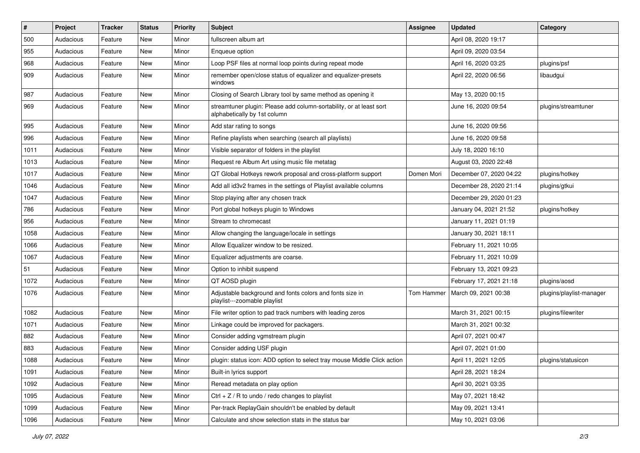| $\vert$ # | Project   | <b>Tracker</b> | <b>Status</b> | <b>Priority</b> | <b>Subject</b>                                                                                      | <b>Assignee</b> | <b>Updated</b>          | Category                 |
|-----------|-----------|----------------|---------------|-----------------|-----------------------------------------------------------------------------------------------------|-----------------|-------------------------|--------------------------|
| 500       | Audacious | Feature        | New           | Minor           | fullscreen album art                                                                                |                 | April 08, 2020 19:17    |                          |
| 955       | Audacious | Feature        | New           | Minor           | Enqueue option                                                                                      |                 | April 09, 2020 03:54    |                          |
| 968       | Audacious | Feature        | New           | Minor           | Loop PSF files at normal loop points during repeat mode                                             |                 | April 16, 2020 03:25    | plugins/psf              |
| 909       | Audacious | Feature        | New           | Minor           | remember open/close status of equalizer and equalizer-presets<br>windows                            |                 | April 22, 2020 06:56    | libaudgui                |
| 987       | Audacious | Feature        | New           | Minor           | Closing of Search Library tool by same method as opening it                                         |                 | May 13, 2020 00:15      |                          |
| 969       | Audacious | Feature        | New           | Minor           | streamtuner plugin: Please add column-sortability, or at least sort<br>alphabetically by 1st column |                 | June 16, 2020 09:54     | plugins/streamtuner      |
| 995       | Audacious | Feature        | <b>New</b>    | Minor           | Add star rating to songs                                                                            |                 | June 16, 2020 09:56     |                          |
| 996       | Audacious | Feature        | New           | Minor           | Refine playlists when searching (search all playlists)                                              |                 | June 16, 2020 09:58     |                          |
| 1011      | Audacious | Feature        | New           | Minor           | Visible separator of folders in the playlist                                                        |                 | July 18, 2020 16:10     |                          |
| 1013      | Audacious | Feature        | New           | Minor           | Request re Album Art using music file metatag                                                       |                 | August 03, 2020 22:48   |                          |
| 1017      | Audacious | Feature        | New           | Minor           | QT Global Hotkeys rework proposal and cross-platform support                                        | Domen Mori      | December 07, 2020 04:22 | plugins/hotkey           |
| 1046      | Audacious | Feature        | New           | Minor           | Add all id3v2 frames in the settings of Playlist available columns                                  |                 | December 28, 2020 21:14 | plugins/gtkui            |
| 1047      | Audacious | Feature        | New           | Minor           | Stop playing after any chosen track                                                                 |                 | December 29, 2020 01:23 |                          |
| 786       | Audacious | Feature        | New           | Minor           | Port global hotkeys plugin to Windows                                                               |                 | January 04, 2021 21:52  | plugins/hotkey           |
| 956       | Audacious | Feature        | New           | Minor           | Stream to chromecast                                                                                |                 | January 11, 2021 01:19  |                          |
| 1058      | Audacious | Feature        | New           | Minor           | Allow changing the language/locale in settings                                                      |                 | January 30, 2021 18:11  |                          |
| 1066      | Audacious | Feature        | New           | Minor           | Allow Equalizer window to be resized.                                                               |                 | February 11, 2021 10:05 |                          |
| 1067      | Audacious | Feature        | New           | Minor           | Equalizer adjustments are coarse.                                                                   |                 | February 11, 2021 10:09 |                          |
| 51        | Audacious | Feature        | New           | Minor           | Option to inhibit suspend                                                                           |                 | February 13, 2021 09:23 |                          |
| 1072      | Audacious | Feature        | New           | Minor           | QT AOSD plugin                                                                                      |                 | February 17, 2021 21:18 | plugins/aosd             |
| 1076      | Audacious | Feature        | New           | Minor           | Adjustable background and fonts colors and fonts size in<br>playlist---zoomable playlist            | Tom Hammer      | March 09, 2021 00:38    | plugins/playlist-manager |
| 1082      | Audacious | Feature        | New           | Minor           | File writer option to pad track numbers with leading zeros                                          |                 | March 31, 2021 00:15    | plugins/filewriter       |
| 1071      | Audacious | Feature        | New           | Minor           | Linkage could be improved for packagers.                                                            |                 | March 31, 2021 00:32    |                          |
| 882       | Audacious | Feature        | New           | Minor           | Consider adding vgmstream plugin                                                                    |                 | April 07, 2021 00:47    |                          |
| 883       | Audacious | Feature        | New           | Minor           | Consider adding USF plugin                                                                          |                 | April 07, 2021 01:00    |                          |
| 1088      | Audacious | Feature        | New           | Minor           | plugin: status icon: ADD option to select tray mouse Middle Click action                            |                 | April 11, 2021 12:05    | plugins/statusicon       |
| 1091      | Audacious | Feature        | New           | Minor           | Built-in lyrics support                                                                             |                 | April 28, 2021 18:24    |                          |
| 1092      | Audacious | Feature        | New           | Minor           | Reread metadata on play option                                                                      |                 | April 30, 2021 03:35    |                          |
| 1095      | Audacious | Feature        | New           | Minor           | Ctrl $+$ Z / R to undo / redo changes to playlist                                                   |                 | May 07, 2021 18:42      |                          |
| 1099      | Audacious | Feature        | New           | Minor           | Per-track ReplayGain shouldn't be enabled by default                                                |                 | May 09, 2021 13:41      |                          |
| 1096      | Audacious | Feature        | New           | Minor           | Calculate and show selection stats in the status bar                                                |                 | May 10, 2021 03:06      |                          |